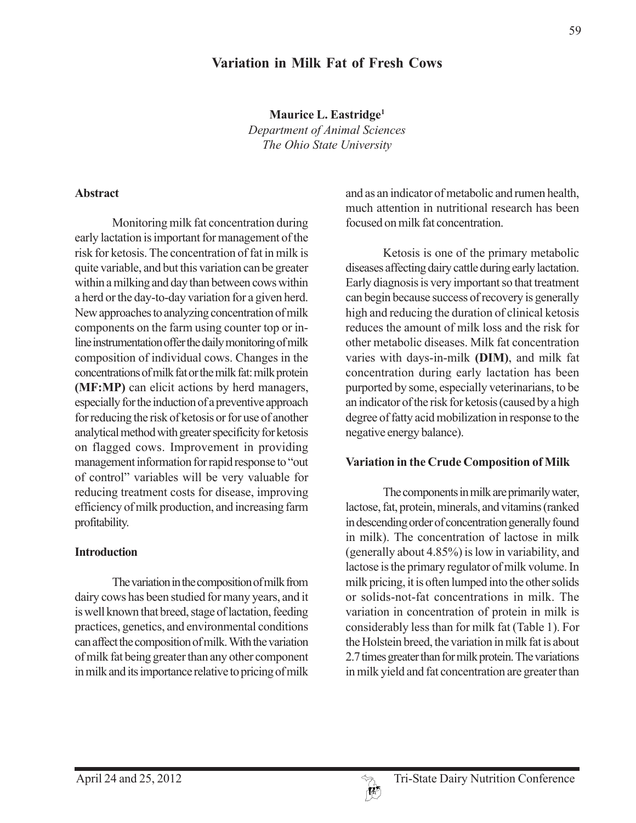# **Variation in Milk Fat of Fresh Cows**

**Maurice L. Eastridge1** *Department of Animal Sciences The Ohio State University*

#### **Abstract**

Monitoring milk fat concentration during early lactation is important for management of the risk for ketosis. The concentration of fat in milk is quite variable, and but this variation can be greater within a milking and day than between cows within a herd or the day-to-day variation for a given herd. New approaches to analyzing concentration of milk components on the farm using counter top or inline instrumentation offer the daily monitoring of milk composition of individual cows. Changes in the concentrations of milk fat or the milk fat: milk protein **(MF:MP)** can elicit actions by herd managers, especially for the induction of a preventive approach for reducing the risk of ketosis or for use of another analytical method with greater specificity for ketosis on flagged cows. Improvement in providing management information for rapid response to "out of control" variables will be very valuable for reducing treatment costs for disease, improving efficiency of milk production, and increasing farm profitability.

#### **Introduction**

The variation in the composition of milk from dairy cows has been studied for many years, and it is well known that breed, stage of lactation, feeding practices, genetics, and environmental conditions can affect the composition of milk. With the variation of milk fat being greater than any other component in milk and its importance relative to pricing of milk

and as an indicator of metabolic and rumen health, much attention in nutritional research has been focused on milk fat concentration.

Ketosis is one of the primary metabolic diseases affecting dairy cattle during early lactation. Early diagnosis is very important so that treatment can begin because success of recovery is generally high and reducing the duration of clinical ketosis reduces the amount of milk loss and the risk for other metabolic diseases. Milk fat concentration varies with days-in-milk **(DIM)**, and milk fat concentration during early lactation has been purported by some, especially veterinarians, to be an indicator of the risk for ketosis (caused by a high degree of fatty acid mobilization in response to the negative energy balance).

#### **Variation in the Crude Composition of Milk**

The components in milk are primarily water, lactose, fat, protein, minerals, and vitamins (ranked in descending order of concentration generally found in milk). The concentration of lactose in milk (generally about 4.85%) is low in variability, and lactose is the primary regulator of milk volume. In milk pricing, it is often lumped into the other solids or solids-not-fat concentrations in milk. The variation in concentration of protein in milk is considerably less than for milk fat (Table 1). For the Holstein breed, the variation in milk fat is about 2.7 times greater than for milk protein. The variations in milk yield and fat concentration are greater than

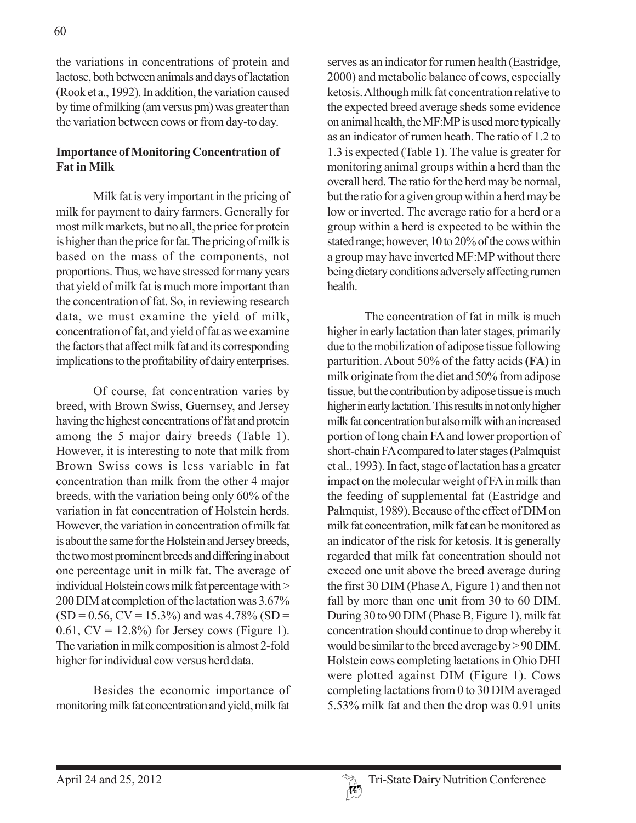the variations in concentrations of protein and lactose, both between animals and days of lactation (Rook et a., 1992). In addition, the variation caused by time of milking (am versus pm) was greater than the variation between cows or from day-to day.

## **Importance of Monitoring Concentration of Fat in Milk**

Milk fat is very important in the pricing of milk for payment to dairy farmers. Generally for most milk markets, but no all, the price for protein is higher than the price for fat. The pricing of milk is based on the mass of the components, not proportions. Thus, we have stressed for many years that yield of milk fat is much more important than the concentration of fat. So, in reviewing research data, we must examine the yield of milk, concentration of fat, and yield of fat as we examine the factors that affect milk fat and its corresponding implications to the profitability of dairy enterprises.

Of course, fat concentration varies by breed, with Brown Swiss, Guernsey, and Jersey having the highest concentrations of fat and protein among the 5 major dairy breeds (Table 1). However, it is interesting to note that milk from Brown Swiss cows is less variable in fat concentration than milk from the other 4 major breeds, with the variation being only 60% of the variation in fat concentration of Holstein herds. However, the variation in concentration of milk fat is about the same for the Holstein and Jersey breeds, the two most prominent breeds and differing in about one percentage unit in milk fat. The average of individual Holstein cows milk fat percentage with > 200 DIM at completion of the lactation was 3.67%  $(SD = 0.56, CV = 15.3\%)$  and was 4.78%  $(SD =$ 0.61,  $CV = 12.8\%$ ) for Jersey cows (Figure 1). The variation in milk composition is almost 2-fold higher for individual cow versus herd data.

Besides the economic importance of monitoring milk fat concentration and yield, milk fat

serves as an indicator for rumen health (Eastridge, 2000) and metabolic balance of cows, especially ketosis. Although milk fat concentration relative to the expected breed average sheds some evidence on animal health, the MF:MP is used more typically as an indicator of rumen heath. The ratio of 1.2 to 1.3 is expected (Table 1). The value is greater for monitoring animal groups within a herd than the overall herd. The ratio for the herd may be normal, but the ratio for a given group within a herd may be low or inverted. The average ratio for a herd or a group within a herd is expected to be within the stated range; however, 10 to 20% of the cows within a group may have inverted MF:MP without there being dietary conditions adversely affecting rumen health.

The concentration of fat in milk is much higher in early lactation than later stages, primarily due to the mobilization of adipose tissue following parturition. About 50% of the fatty acids **(FA)** in milk originate from the diet and 50% from adipose tissue, but the contribution by adipose tissue is much higher in early lactation. This results in not only higher milk fat concentration but also milk with an increased portion of long chain FA and lower proportion of short-chain FA compared to later stages (Palmquist et al., 1993). In fact, stage of lactation has a greater impact on the molecular weight of FA in milk than the feeding of supplemental fat (Eastridge and Palmquist, 1989). Because of the effect of DIM on milk fat concentration, milk fat can be monitored as an indicator of the risk for ketosis. It is generally regarded that milk fat concentration should not exceed one unit above the breed average during the first 30 DIM (Phase A, Figure 1) and then not fall by more than one unit from 30 to 60 DIM. During 30 to 90 DIM (Phase B, Figure 1), milk fat concentration should continue to drop whereby it would be similar to the breed average by  $\geq$  90 DIM. Holstein cows completing lactations in Ohio DHI were plotted against DIM (Figure 1). Cows completing lactations from 0 to 30 DIM averaged 5.53% milk fat and then the drop was 0.91 units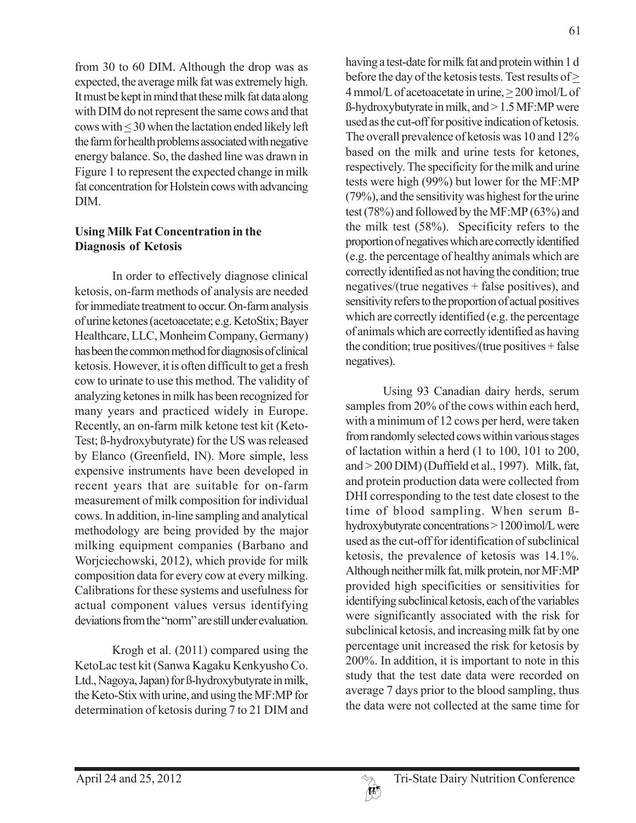from 30 to 60 DIM. Although the drop was as expected, the average milk fat was extremely high. It must be kept in mind that these milk fat data along with DIM do not represent the same cows and that cows with < 30 when the lactation ended likely left the farm for health problems associated with negative energy balance. So, the dashed line was drawn in Figure 1 to represent the expected change in milk fat concentration for Holstein cows with advancing DIM.

### **Using Milk Fat Concentration in the Diagnosis of Ketosis**

In order to effectively diagnose clinical ketosis, on-farm methods of analysis are needed for immediate treatment to occur. On-farm analysis of urine ketones (acetoacetate; e.g. KetoStix; Bayer Healthcare, LLC, Monheim Company, Germany) has been the common method for diagnosis of clinical ketosis. However, it is often difficult to get a fresh cow to urinate to use this method. The validity of analyzing ketones in milk has been recognized for many years and practiced widely in Europe. Recently, an on-farm milk ketone test kit (Keto-Test; ß-hydroxybutyrate) for the US was released by Elanco (Greenfield, IN). More simple, less expensive instruments have been developed in recent years that are suitable for on-farm measurement of milk composition for individual cows. In addition, in-line sampling and analytical methodology are being provided by the major milking equipment companies (Barbano and Worjciechowski, 2012), which provide for milk composition data for every cow at every milking. Calibrations for these systems and usefulness for actual component values versus identifying deviations from the "norm" are still under evaluation.

Krogh et al. (2011) compared using the KetoLac test kit (Sanwa Kagaku Kenkyusho Co. Ltd., Nagoya, Japan) for ß-hydroxybutyrate in milk, the Keto-Stix with urine, and using the MF:MP for determination of ketosis during 7 to 21 DIM and having a test-date for milk fat and protein within 1 d before the day of the ketosis tests. Test results of > 4 mmol/L of acetoacetate in urine, > 200 ìmol/L of ß-hydroxybutyrate in milk, and > 1.5 MF:MP were used as the cut-off for positive indication of ketosis. The overall prevalence of ketosis was 10 and 12% based on the milk and urine tests for ketones, respectively. The specificity for the milk and urine tests were high (99%) but lower for the MF:MP (79%), and the sensitivity was highest for the urine test (78%) and followed by the MF:MP (63%) and the milk test (58%). Specificity refers to the proportion of negatives which are correctly identified (e.g. the percentage of healthy animals which are correctly identified as not having the condition; true negatives/(true negatives + false positives), and sensitivity refers to the proportion of actual positives which are correctly identified (e.g. the percentage of animals which are correctly identified as having the condition; true positives/(true positives + false negatives).

Using 93 Canadian dairy herds, serum samples from 20% of the cows within each herd, with a minimum of 12 cows per herd, were taken from randomly selected cows within various stages of lactation within a herd (1 to 100, 101 to 200, and > 200 DIM) (Duffield et al., 1997). Milk, fat, and protein production data were collected from DHI corresponding to the test date closest to the time of blood sampling. When serum ßhydroxybutyrate concentrations > 1200 ìmol/L were used as the cut-off for identification of subclinical ketosis, the prevalence of ketosis was 14.1%. Although neither milk fat, milk protein, nor MF:MP provided high specificities or sensitivities for identifying subclinical ketosis, each of the variables were significantly associated with the risk for subclinical ketosis, and increasing milk fat by one percentage unit increased the risk for ketosis by 200%. In addition, it is important to note in this study that the test date data were recorded on average 7 days prior to the blood sampling, thus the data were not collected at the same time for

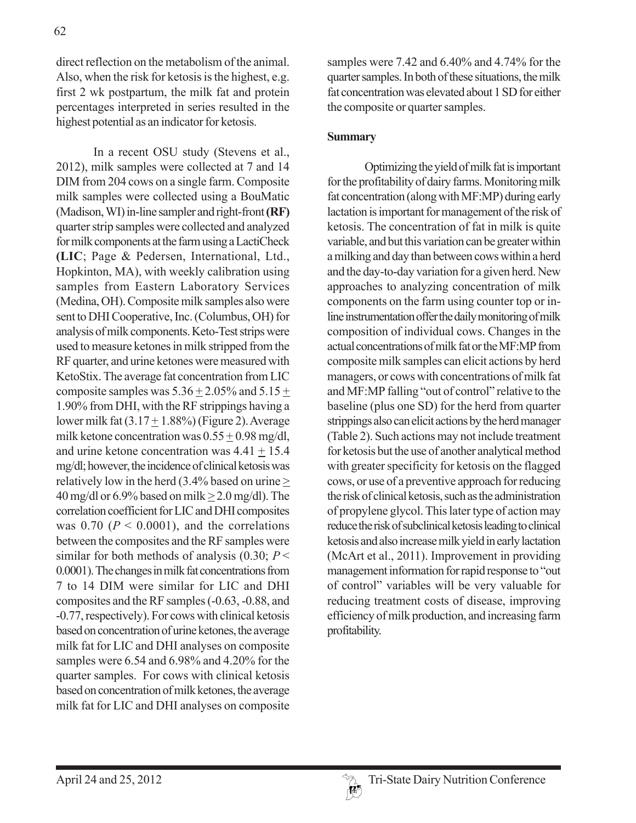direct reflection on the metabolism of the animal. Also, when the risk for ketosis is the highest, e.g. first 2 wk postpartum, the milk fat and protein percentages interpreted in series resulted in the highest potential as an indicator for ketosis.

In a recent OSU study (Stevens et al., 2012), milk samples were collected at 7 and 14 DIM from 204 cows on a single farm. Composite milk samples were collected using a BouMatic (Madison, WI) in-line sampler and right-front **(RF)** quarter strip samples were collected and analyzed for milk components at the farm using a LactiCheck **(LIC**; Page & Pedersen, International, Ltd., Hopkinton, MA), with weekly calibration using samples from Eastern Laboratory Services (Medina, OH). Composite milk samples also were sent to DHI Cooperative, Inc. (Columbus, OH) for analysis of milk components. Keto-Test strips were used to measure ketones in milk stripped from the RF quarter, and urine ketones were measured with KetoStix. The average fat concentration from LIC composite samples was  $5.36 \pm 2.05\%$  and  $5.15 \pm$ 1.90% from DHI, with the RF strippings having a lower milk fat  $(3.17 + 1.88\%)$  (Figure 2). Average milk ketone concentration was 0.55 + 0.98 mg/dl, and urine ketone concentration was 4.41 + 15.4 mg/dl; however, the incidence of clinical ketosis was relatively low in the herd (3.4% based on urine  $\geq$ 40 mg/dl or  $6.9\%$  based on milk  $> 2.0$  mg/dl). The correlation coefficient for LIC and DHI composites was  $0.70$  ( $P < 0.0001$ ), and the correlations between the composites and the RF samples were similar for both methods of analysis  $(0.30; P \leq$ 0.0001). The changes in milk fat concentrations from 7 to 14 DIM were similar for LIC and DHI composites and the RF samples (-0.63, -0.88, and -0.77, respectively). For cows with clinical ketosis based on concentration of urine ketones, the average milk fat for LIC and DHI analyses on composite samples were 6.54 and 6.98% and 4.20% for the quarter samples. For cows with clinical ketosis based on concentration of milk ketones, the average milk fat for LIC and DHI analyses on composite

samples were 7.42 and 6.40% and 4.74% for the quarter samples. In both of these situations, the milk fat concentration was elevated about 1 SD for either the composite or quarter samples.

### **Summary**

Optimizing the yield of milk fat is important for the profitability of dairy farms. Monitoring milk fat concentration (along with MF:MP) during early lactation is important for management of the risk of ketosis. The concentration of fat in milk is quite variable, and but this variation can be greater within a milking and day than between cows within a herd and the day-to-day variation for a given herd. New approaches to analyzing concentration of milk components on the farm using counter top or inline instrumentation offer the daily monitoring of milk composition of individual cows. Changes in the actual concentrations of milk fat or the MF:MP from composite milk samples can elicit actions by herd managers, or cows with concentrations of milk fat and MF:MP falling "out of control" relative to the baseline (plus one SD) for the herd from quarter strippings also can elicit actions by the herd manager (Table 2). Such actions may not include treatment for ketosis but the use of another analytical method with greater specificity for ketosis on the flagged cows, or use of a preventive approach for reducing the risk of clinical ketosis, such as the administration of propylene glycol. This later type of action may reduce the risk of subclinical ketosis leading to clinical ketosis and also increase milk yield in early lactation (McArt et al., 2011). Improvement in providing management information for rapid response to "out of control" variables will be very valuable for reducing treatment costs of disease, improving efficiency of milk production, and increasing farm profitability.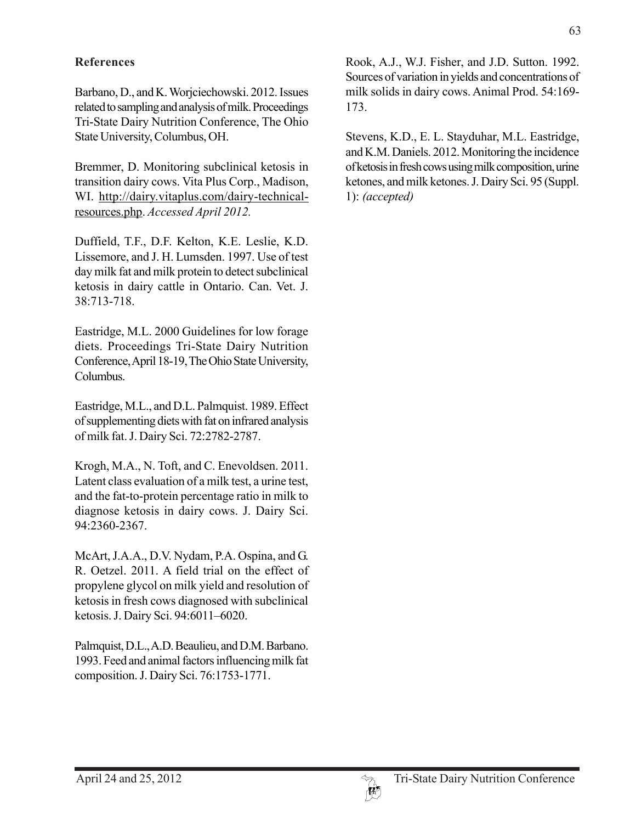## **References**

Barbano, D., and K. Worjciechowski. 2012. Issues related to sampling and analysis of milk. Proceedings Tri-State Dairy Nutrition Conference, The Ohio State University, Columbus, OH.

Bremmer, D. Monitoring subclinical ketosis in transition dairy cows. Vita Plus Corp., Madison, WI. http://dairy.vitaplus.com/dairy-technicalresources.php. *Accessed April 2012.*

Duffield, T.F., D.F. Kelton, K.E. Leslie, K.D. Lissemore, and J. H. Lumsden. 1997. Use of test day milk fat and milk protein to detect subclinical ketosis in dairy cattle in Ontario. Can. Vet. J. 38:713-718.

Eastridge, M.L. 2000 Guidelines for low forage diets. Proceedings Tri-State Dairy Nutrition Conference, April 18-19, The Ohio State University, Columbus.

Eastridge, M.L., and D.L. Palmquist. 1989. Effect of supplementing diets with fat on infrared analysis of milk fat. J. Dairy Sci. 72:2782-2787.

Krogh, M.A., N. Toft, and C. Enevoldsen. 2011. Latent class evaluation of a milk test, a urine test, and the fat-to-protein percentage ratio in milk to diagnose ketosis in dairy cows. J. Dairy Sci. 94:2360-2367.

McArt, J.A.A., D.V. Nydam, P.A. Ospina, and G. R. Oetzel. 2011. A field trial on the effect of propylene glycol on milk yield and resolution of ketosis in fresh cows diagnosed with subclinical ketosis. J. Dairy Sci. 94:6011–6020.

Palmquist, D.L., A.D. Beaulieu, and D.M. Barbano. 1993. Feed and animal factors influencing milk fat composition. J. Dairy Sci. 76:1753-1771.

Rook, A.J., W.J. Fisher, and J.D. Sutton. 1992. Sources of variation in yields and concentrations of milk solids in dairy cows. Animal Prod. 54:169- 173.

Stevens, K.D., E. L. Stayduhar, M.L. Eastridge, and K.M. Daniels. 2012. Monitoring the incidence of ketosis in fresh cows using milk composition, urine ketones, and milk ketones. J. Dairy Sci. 95 (Suppl. 1): *(accepted)*

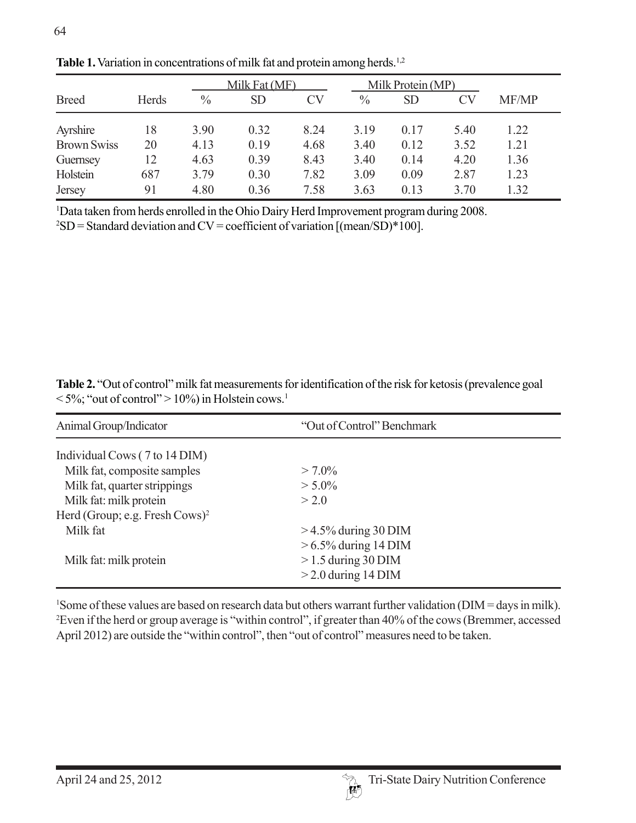|                    |       | Milk Fat (MF) |           |           | Milk Protein (MP) |           |      |       |
|--------------------|-------|---------------|-----------|-----------|-------------------|-----------|------|-------|
| <b>Breed</b>       | Herds | $\frac{0}{0}$ | <b>SD</b> | <b>CV</b> | $\%$              | <b>SD</b> | CV   | MF/MP |
| Ayrshire           | 18    | 3.90          | 0.32      | 8.24      | 3.19              | 0.17      | 5.40 | 1.22  |
| <b>Brown Swiss</b> | 20    | 4.13          | 0.19      | 4.68      | 3.40              | 0.12      | 3.52 | 1.21  |
| Guernsey           | 12    | 4.63          | 0.39      | 8.43      | 3.40              | 0.14      | 4.20 | 1.36  |
| Holstein           | 687   | 3.79          | 0.30      | 7.82      | 3.09              | 0.09      | 2.87 | 1.23  |
| Jersey             | 91    | 4.80          | 0.36      | 7.58      | 3.63              | 0.13      | 3.70 | 1.32  |

Table 1. Variation in concentrations of milk fat and protein among herds.<sup>1,2</sup>

1 Data taken from herds enrolled in the Ohio Dairy Herd Improvement program during 2008.

 ${}^{2}SD =$  Standard deviation and CV = coefficient of variation [(mean/SD)\*100].

**Table 2.** "Out of control" milk fat measurements for identification of the risk for ketosis (prevalence goal  $\langle 5\%$ ; "out of control" > 10%) in Holstein cows.<sup>1</sup>

| "Out of Control" Benchmark |  |  |  |  |
|----------------------------|--|--|--|--|
|                            |  |  |  |  |
| $> 7.0\%$                  |  |  |  |  |
| $> 5.0\%$                  |  |  |  |  |
| > 2.0                      |  |  |  |  |
|                            |  |  |  |  |
| $>$ 4.5% during 30 DIM     |  |  |  |  |
| $> 6.5\%$ during 14 DIM    |  |  |  |  |
| $>1.5$ during 30 DIM       |  |  |  |  |
| $>$ 2.0 during 14 DIM      |  |  |  |  |
|                            |  |  |  |  |

<sup>1</sup>Some of these values are based on research data but others warrant further validation (DIM = days in milk). 2 Even if the herd or group average is "within control", if greater than 40% of the cows (Bremmer, accessed April 2012) are outside the "within control", then "out of control" measures need to be taken.